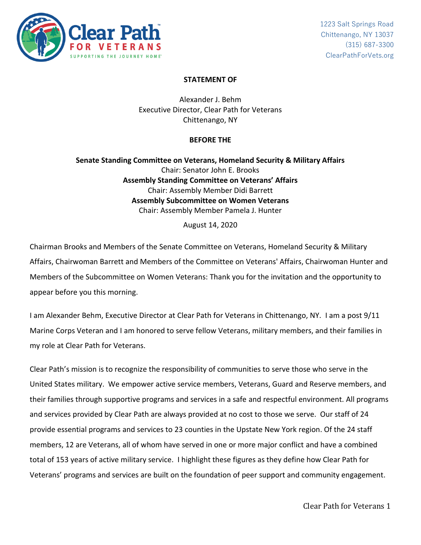

## **STATEMENT OF**

Alexander J. Behm Executive Director, Clear Path for Veterans Chittenango, NY

### **BEFORE THE**

**Senate Standing Committee on Veterans, Homeland Security & Military Affairs** Chair: Senator John E. Brooks **Assembly Standing Committee on Veterans' Affairs** Chair: Assembly Member Didi Barrett **Assembly Subcommittee on Women Veterans** Chair: Assembly Member Pamela J. Hunter

August 14, 2020

Chairman Brooks and Members of the Senate Committee on Veterans, Homeland Security & Military Affairs, Chairwoman Barrett and Members of the Committee on Veterans' Affairs, Chairwoman Hunter and Members of the Subcommittee on Women Veterans: Thank you for the invitation and the opportunity to appear before you this morning.

I am Alexander Behm, Executive Director at Clear Path for Veterans in Chittenango, NY. I am a post 9/11 Marine Corps Veteran and I am honored to serve fellow Veterans, military members, and their families in my role at Clear Path for Veterans.

Clear Path's mission is to recognize the responsibility of communities to serve those who serve in the United States military. We empower active service members, Veterans, Guard and Reserve members, and their families through supportive programs and services in a safe and respectful environment. All programs and services provided by Clear Path are always provided at no cost to those we serve. Our staff of 24 provide essential programs and services to 23 counties in the Upstate New York region. Of the 24 staff members, 12 are Veterans, all of whom have served in one or more major conflict and have a combined total of 153 years of active military service. I highlight these figures as they define how Clear Path for Veterans' programs and services are built on the foundation of peer support and community engagement.

Clear Path for Veterans 1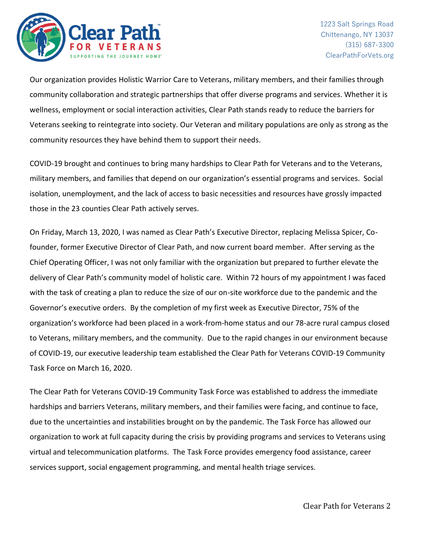

Our organization provides Holistic Warrior Care to Veterans, military members, and their families through community collaboration and strategic partnerships that offer diverse programs and services. Whether it is wellness, employment or social interaction activities, Clear Path stands ready to reduce the barriers for Veterans seeking to reintegrate into society. Our Veteran and military populations are only as strong as the community resources they have behind them to support their needs.

COVID-19 brought and continues to bring many hardships to Clear Path for Veterans and to the Veterans, military members, and families that depend on our organization's essential programs and services. Social isolation, unemployment, and the lack of access to basic necessities and resources have grossly impacted those in the 23 counties Clear Path actively serves.

On Friday, March 13, 2020, I was named as Clear Path's Executive Director, replacing Melissa Spicer, Cofounder, former Executive Director of Clear Path, and now current board member. After serving as the Chief Operating Officer, I was not only familiar with the organization but prepared to further elevate the delivery of Clear Path's community model of holistic care. Within 72 hours of my appointment I was faced with the task of creating a plan to reduce the size of our on-site workforce due to the pandemic and the Governor's executive orders. By the completion of my first week as Executive Director, 75% of the organization's workforce had been placed in a work-from-home status and our 78-acre rural campus closed to Veterans, military members, and the community. Due to the rapid changes in our environment because of COVID-19, our executive leadership team established the Clear Path for Veterans COVID-19 Community Task Force on March 16, 2020.

The Clear Path for Veterans COVID-19 Community Task Force was established to address the immediate hardships and barriers Veterans, military members, and their families were facing, and continue to face, due to the uncertainties and instabilities brought on by the pandemic. The Task Force has allowed our organization to work at full capacity during the crisis by providing programs and services to Veterans using virtual and telecommunication platforms. The Task Force provides emergency food assistance, career services support, social engagement programming, and mental health triage services.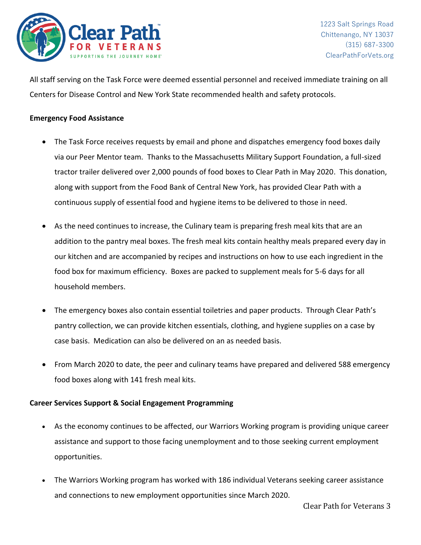

All staff serving on the Task Force were deemed essential personnel and received immediate training on all Centers for Disease Control and New York State recommended health and safety protocols.

## **Emergency Food Assistance**

- The Task Force receives requests by email and phone and dispatches emergency food boxes daily via our Peer Mentor team. Thanks to the Massachusetts Military Support Foundation, a full-sized tractor trailer delivered over 2,000 pounds of food boxes to Clear Path in May 2020. This donation, along with support from the Food Bank of Central New York, has provided Clear Path with a continuous supply of essential food and hygiene items to be delivered to those in need.
- As the need continues to increase, the Culinary team is preparing fresh meal kits that are an addition to the pantry meal boxes. The fresh meal kits contain healthy meals prepared every day in our kitchen and are accompanied by recipes and instructions on how to use each ingredient in the food box for maximum efficiency. Boxes are packed to supplement meals for 5-6 days for all household members.
- The emergency boxes also contain essential toiletries and paper products. Through Clear Path's pantry collection, we can provide kitchen essentials, clothing, and hygiene supplies on a case by case basis. Medication can also be delivered on an as needed basis.
- From March 2020 to date, the peer and culinary teams have prepared and delivered 588 emergency food boxes along with 141 fresh meal kits.

## **Career Services Support & Social Engagement Programming**

- As the economy continues to be affected, our Warriors Working program is providing unique career assistance and support to those facing unemployment and to those seeking current employment opportunities.
- The Warriors Working program has worked with 186 individual Veterans seeking career assistance and connections to new employment opportunities since March 2020.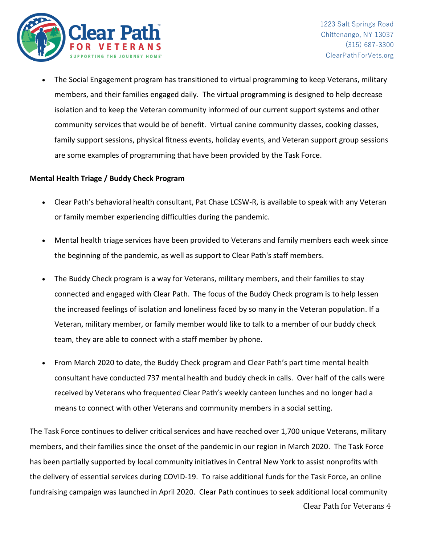

Clear Path for Veterans 4

• The Social Engagement program has transitioned to virtual programming to keep Veterans, military members, and their families engaged daily. The virtual programming is designed to help decrease isolation and to keep the Veteran community informed of our current support systems and other community services that would be of benefit. Virtual canine community classes, cooking classes, family support sessions, physical fitness events, holiday events, and Veteran support group sessions are some examples of programming that have been provided by the Task Force.

# **Mental Health Triage / Buddy Check Program**

- Clear Path's behavioral health consultant, Pat Chase LCSW-R, is available to speak with any Veteran or family member experiencing difficulties during the pandemic.
- Mental health triage services have been provided to Veterans and family members each week since the beginning of the pandemic, as well as support to Clear Path's staff members.
- The Buddy Check program is a way for Veterans, military members, and their families to stay connected and engaged with Clear Path. The focus of the Buddy Check program is to help lessen the increased feelings of isolation and loneliness faced by so many in the Veteran population. If a Veteran, military member, or family member would like to talk to a member of our buddy check team, they are able to connect with a staff member by phone.
- From March 2020 to date, the Buddy Check program and Clear Path's part time mental health consultant have conducted 737 mental health and buddy check in calls. Over half of the calls were received by Veterans who frequented Clear Path's weekly canteen lunches and no longer had a means to connect with other Veterans and community members in a social setting.

The Task Force continues to deliver critical services and have reached over 1,700 unique Veterans, military members, and their families since the onset of the pandemic in our region in March 2020. The Task Force has been partially supported by local community initiatives in Central New York to assist nonprofits with the delivery of essential services during COVID-19. To raise additional funds for the Task Force, an online fundraising campaign was launched in April 2020. Clear Path continues to seek additional local community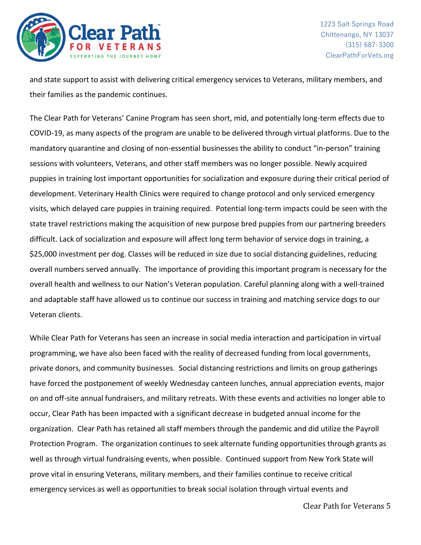

and state support to assist with delivering critical emergency services to Veterans, military members, and their families as the pandemic continues.

The Clear Path for Veterans' Canine Program has seen short, mid, and potentially long-term effects due to COVID-19, as many aspects of the program are unable to be delivered through virtual platforms. Due to the mandatory quarantine and closing of non-essential businesses the ability to conduct "in-person" training sessions with volunteers, Veterans, and other staff members was no longer possible. Newly acquired puppies in training lost important opportunities for socialization and exposure during their critical period of development. Veterinary Health Clinics were required to change protocol and only serviced emergency visits, which delayed care puppies in training required. Potential long-term impacts could be seen with the state travel restrictions making the acquisition of new purpose bred puppies from our partnering breeders difficult. Lack of socialization and exposure will affect long term behavior of service dogs in training, a \$25,000 investment per dog. Classes will be reduced in size due to social distancing guidelines, reducing overall numbers served annually. The importance of providing this important program is necessary for the overall health and wellness to our Nation's Veteran population. Careful planning along with a well-trained and adaptable staff have allowed us to continue our success in training and matching service dogs to our Veteran clients.

While Clear Path for Veterans has seen an increase in social media interaction and participation in virtual programming, we have also been faced with the reality of decreased funding from local governments, private donors, and community businesses. Social distancing restrictions and limits on group gatherings have forced the postponement of weekly Wednesday canteen lunches, annual appreciation events, major on and off-site annual fundraisers, and military retreats. With these events and activities no longer able to occur, Clear Path has been impacted with a significant decrease in budgeted annual income for the organization. Clear Path has retained all staff members through the pandemic and did utilize the Payroll Protection Program. The organization continues to seek alternate funding opportunities through grants as well as through virtual fundraising events, when possible. Continued support from New York State will prove vital in ensuring Veterans, military members, and their families continue to receive critical emergency services as well as opportunities to break social isolation through virtual events and